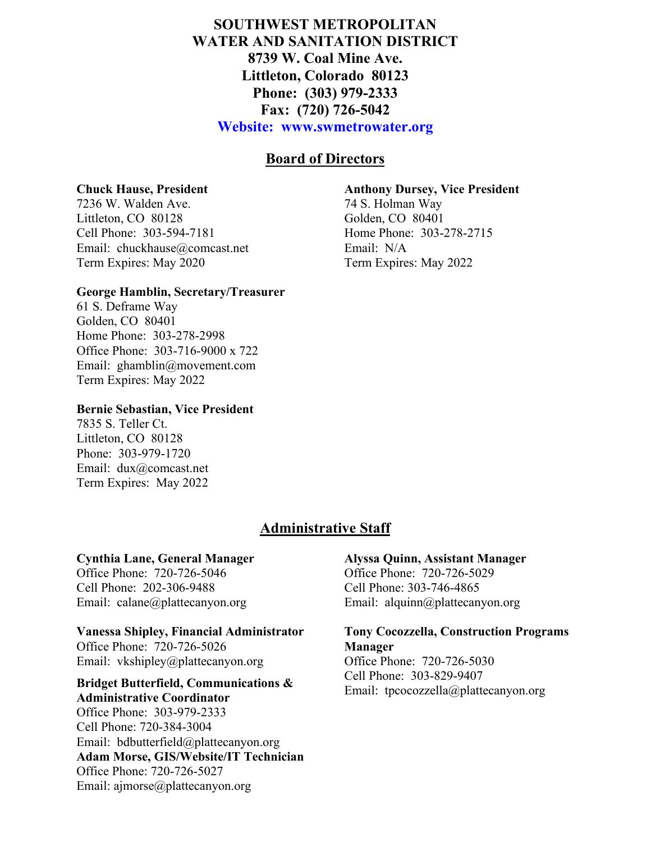# **SOUTHWEST METROPOLITAN WATER AND SANITATION DISTRICT 8739 W. Coal Mine Ave. Littleton, Colorado 80123 Phone: (303) 979-2333 Fax: (720) 726-5042 Website: www.swmetrowater.org**

# **Board of Directors**

#### **Chuck Hause, President**

7236 W. Walden Ave. Littleton, CO 80128 Cell Phone: 303-594-7181 Email: chuckhause@comcast.net Term Expires: May 2020

### **George Hamblin, Secretary/Treasurer**

61 S. Deframe Way Golden, CO 80401 Home Phone: 303-278-2998 Office Phone: 303-716-9000 x 722 Email: ghamblin@movement.com Term Expires: May 2022

## **Bernie Sebastian, Vice President**

7835 S. Teller Ct. Littleton, CO 80128 Phone: 303-979-1720 Email: dux@comcast.net Term Expires: May 2022

# **Administrative Staff**

#### **Cynthia Lane, General Manager**

Office Phone: 720-726-5046 Cell Phone: 202-306-9488 Email: calane@plattecanyon.org

## **Vanessa Shipley, Financial Administrator**

Office Phone: 720-726-5026 Email: vkshipley@plattecanyon.org

#### **EXECUTER BUTTER BUTTERS BUTTERS**<br>Email: tpcocozzella@plattecanyon.org **Administrative Coordinator**

Office Phone: 303-979-2333 Cell Phone: 720-384-3004 Email: bdbutterfield@plattecanyon.org **Adam Morse, GIS/Website/IT Technician** Office Phone: 720-726-5027 Email: ajmorse@plattecanyon.org

#### **Anthony Dursey, Vice President**

74 S. Holman Way Golden, CO 80401 Home Phone: 303-278-2715 Email: N/A Term Expires: May 2022

### **Alyssa Quinn, Assistant Manager**

Office Phone: 720-726-5029 Cell Phone: 303-746-4865 Email: alquinn@plattecanyon.org

### **Tony Cocozzella, Construction Programs Manager** Office Phone: 720-726-5030

Cell Phone: 303-829-9407